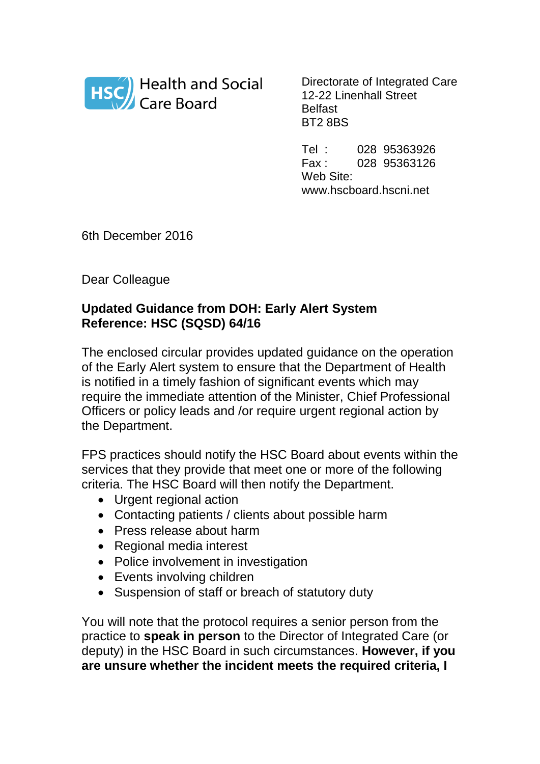

Directorate of Integrated Care 12-22 Linenhall Street Belfast BT2 8BS

Tel : 028 95363926 Fax : 028 95363126 Web Site: www.hscboard.hscni.net

6th December 2016

Dear Colleague

## **Updated Guidance from DOH: Early Alert System Reference: HSC (SQSD) 64/16**

The enclosed circular provides updated guidance on the operation of the Early Alert system to ensure that the Department of Health is notified in a timely fashion of significant events which may require the immediate attention of the Minister, Chief Professional Officers or policy leads and /or require urgent regional action by the Department.

FPS practices should notify the HSC Board about events within the services that they provide that meet one or more of the following criteria. The HSC Board will then notify the Department.

- Urgent regional action
- Contacting patients / clients about possible harm
- Press release about harm
- Regional media interest
- Police involvement in investigation
- Events involving children
- Suspension of staff or breach of statutory duty

You will note that the protocol requires a senior person from the practice to **speak in person** to the Director of Integrated Care (or deputy) in the HSC Board in such circumstances. **However, if you are unsure whether the incident meets the required criteria, I**